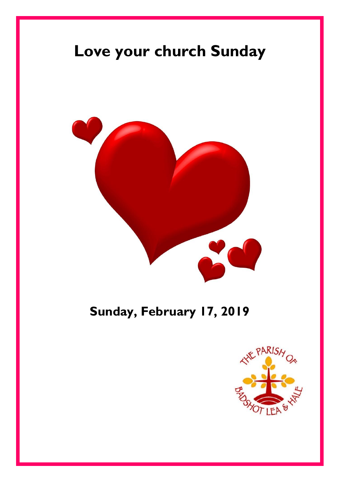# **Love your church Sunday**



### **Sunday, February 17, 2019**

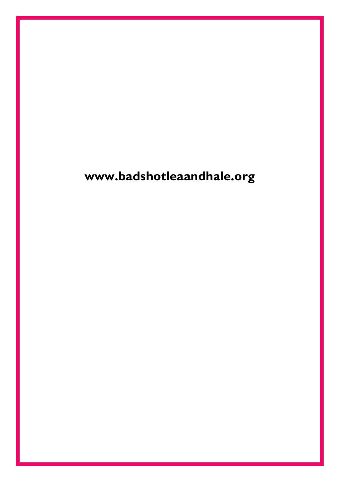# **www.badshotleaandhale.org**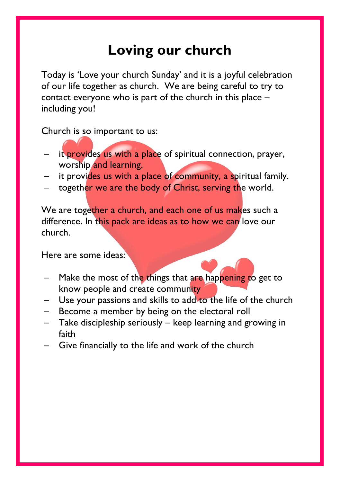# **Loving our church**

Today is 'Love your church Sunday' and it is a joyful celebration of our life together as church. We are being careful to try to contact everyone who is part of the church in this place – including you!

Church is so important to us:

- it provides us with a place of spiritual connection, prayer, worship and learning.
- it provides us with a place of community, a spiritual family.
- together we are the body of Christ, serving the world.

We are together a church, and each one of us makes such a difference. In this pack are ideas as to how we can love our church.

Here are some ideas:

- Make the most of the things that are happening to get to know people and create community
- Use your passions and skills to add to the life of the church
- Become a member by being on the electoral roll
- Take discipleship seriously keep learning and growing in faith
- Give financially to the life and work of the church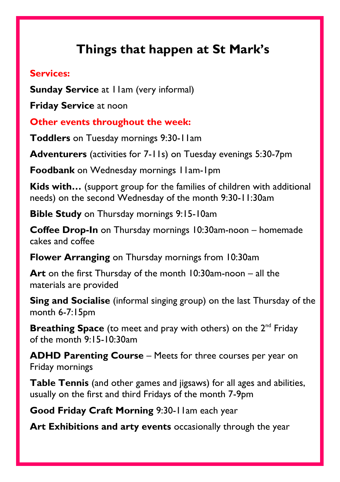### **Things that happen at St Mark's**

#### **Services:**

**Sunday Service** at 11am (very informal)

**Friday Service** at noon

**Other events throughout the week:**

**Toddlers** on Tuesday mornings 9:30-11am

**Adventurers** (activities for 7-11s) on Tuesday evenings 5:30-7pm

**Foodbank** on Wednesday mornings 11am-1pm

**Kids with…** (support group for the families of children with additional needs) on the second Wednesday of the month 9:30-11:30am

**Bible Study** on Thursday mornings 9:15-10am

**Coffee Drop-In** on Thursday mornings 10:30am-noon – homemade cakes and coffee

**Flower Arranging** on Thursday mornings from 10:30am

**Art** on the first Thursday of the month 10:30am-noon – all the materials are provided

**Sing and Socialise** (informal singing group) on the last Thursday of the month 6-7:15pm

**Breathing Space** (to meet and pray with others) on the 2<sup>nd</sup> Friday of the month 9:15-10:30am

**ADHD Parenting Course** – Meets for three courses per year on Friday mornings

**Table Tennis** (and other games and jigsaws) for all ages and abilities, usually on the first and third Fridays of the month 7-9pm

**Good Friday Craft Morning** 9:30-11am each year

**Art Exhibitions and arty events** occasionally through the year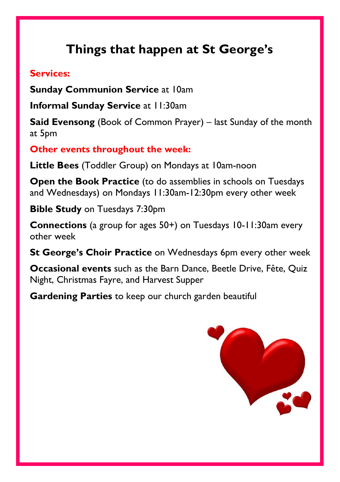### **Things that happen at St George's**

#### **Services:**

**Sunday Communion Service at 10am** 

**Informal Sunday Service** at 11:30am

**Said Evensong** (Book of Common Prayer) – last Sunday of the month at 5pm

**Other events throughout the week:**

**Little Bees** (Toddler Group) on Mondays at 10am-noon

**Open the Book Practice** (to do assemblies in schools on Tuesdays and Wednesdays) on Mondays 11:30am-12:30pm every other week

**Bible Study** on Tuesdays 7:30pm

**Connections** (a group for ages 50+) on Tuesdays 10-11:30am every other week

**St George's Choir Practice** on Wednesdays 6pm every other week

**Occasional events** such as the Barn Dance, Beetle Drive, Fête, Quiz Night, Christmas Fayre, and Harvest Supper

**Gardening Parties** to keep our church garden beautiful

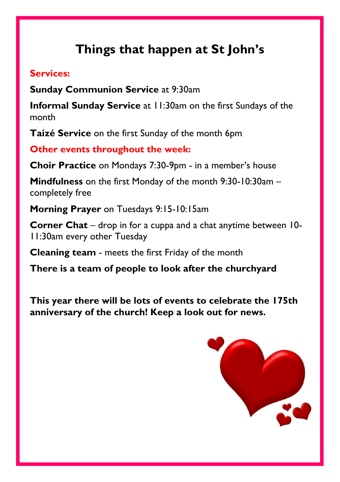### **Things that happen at St John's**

#### **Services:**

**Sunday Communion Service** at 9:30am

**Informal Sunday Service** at 11:30am on the first Sundays of the month

**Taizé Service** on the first Sunday of the month 6pm

**Other events throughout the week:**

**Choir Practice** on Mondays 7:30-9pm - in a member's house

**Mindfulness** on the first Monday of the month 9:30-10:30am – completely free

**Morning Prayer** on Tuesdays 9:15-10:15am

**Corner Chat** – drop in for a cuppa and a chat anytime between 10- 11:30am every other Tuesday

**Cleaning team** - meets the first Friday of the month

**There is a team of people to look after the churchyard**

**This year there will be lots of events to celebrate the 175th anniversary of the church! Keep a look out for news.**

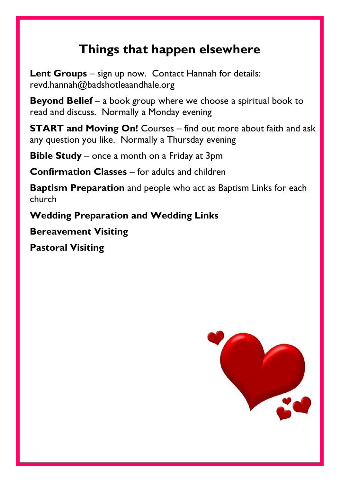### **Things that happen elsewhere**

**Lent Groups** – sign up now. Contact Hannah for details: revd.hannah@badshotleaandhale.org

**Beyond Belief** – a book group where we choose a spiritual book to read and discuss. Normally a Monday evening

**START and Moving On!** Courses – find out more about faith and ask any question you like. Normally a Thursday evening

**Bible Study** – once a month on a Friday at 3pm

**Confirmation Classes** – for adults and children

**Baptism Preparation** and people who act as Baptism Links for each church

**Wedding Preparation and Wedding Links**

**Bereavement Visiting**

**Pastoral Visiting**

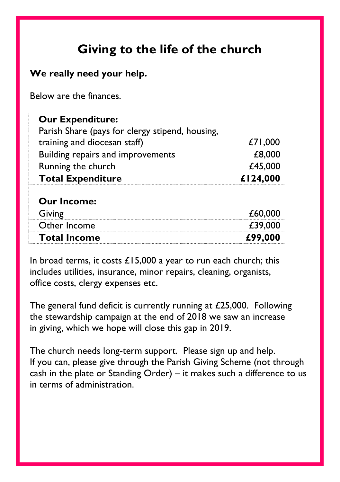### **Giving to the life of the church**

#### **We really need your help.**

Below are the finances.

| <b>Our Expenditure:</b>                                                         |          |
|---------------------------------------------------------------------------------|----------|
| Parish Share (pays for clergy stipend, housing,<br>training and diocesan staff) | £71,000  |
| Building repairs and improvements                                               | £8.0     |
| Running the church                                                              |          |
| <b>Total Expenditure</b>                                                        | £124,000 |
| <b>Our Income:</b>                                                              |          |
| Giving                                                                          |          |
| Other Income                                                                    |          |
| <b>Total Income</b>                                                             |          |

In broad terms, it costs  $£15,000$  a year to run each church; this includes utilities, insurance, minor repairs, cleaning, organists, office costs, clergy expenses etc.

The general fund deficit is currently running at £25,000. Following the stewardship campaign at the end of 2018 we saw an increase in giving, which we hope will close this gap in 2019.

The church needs long-term support. Please sign up and help. If you can, please give through the Parish Giving Scheme (not through cash in the plate or Standing Order) – it makes such a difference to us in terms of administration.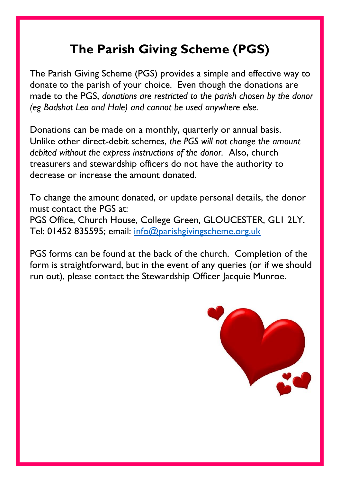### **The Parish Giving Scheme (PGS)**

The Parish Giving Scheme (PGS) provides a simple and effective way to donate to the parish of your choice. Even though the donations are made to the PGS, *donations are restricted to the parish chosen by the donor (eg Badshot Lea and Hale) and cannot be used anywhere else.*

Donations can be made on a monthly, quarterly or annual basis. Unlike other direct-debit schemes, *the PGS will not change the amount debited without the express instructions of the donor.* Also, church treasurers and stewardship officers do not have the authority to decrease or increase the amount donated.

To change the amount donated, or update personal details, the donor must contact the PGS at: PGS Office, Church House, College Green, GLOUCESTER, GL1 2LY. Tel: 01452 835595; email: [info@parishgivingscheme.org.uk](mailto:info@parishgivingscheme.org.uk)

PGS forms can be found at the back of the church. Completion of the form is straightforward, but in the event of any queries (or if we should run out), please contact the Stewardship Officer lacquie Munroe.

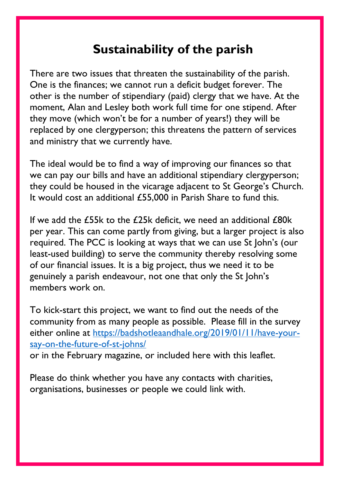### **Sustainability of the parish**

There are two issues that threaten the sustainability of the parish. One is the finances; we cannot run a deficit budget forever. The other is the number of stipendiary (paid) clergy that we have. At the moment, Alan and Lesley both work full time for one stipend. After they move (which won't be for a number of years!) they will be replaced by one clergyperson; this threatens the pattern of services and ministry that we currently have.

The ideal would be to find a way of improving our finances so that we can pay our bills and have an additional stipendiary clergyperson; they could be housed in the vicarage adjacent to St George's Church. It would cost an additional £55,000 in Parish Share to fund this.

If we add the £55k to the £25k deficit, we need an additional  $£80k$ per year. This can come partly from giving, but a larger project is also required. The PCC is looking at ways that we can use St John's (our least-used building) to serve the community thereby resolving some of our financial issues. It is a big project, thus we need it to be genuinely a parish endeavour, not one that only the St John's members work on.

To kick-start this project, we want to find out the needs of the community from as many people as possible. Please fill in the survey either online at [https://badshotleaandhale.org/2019/01/11/have-your](https://badshotleaandhale.org/2019/01/11/have-your-say-on-the-future-of-st-johns/)[say-on-the-future-of-st-johns/](https://badshotleaandhale.org/2019/01/11/have-your-say-on-the-future-of-st-johns/)

or in the February magazine, or included here with this leaflet.

Please do think whether you have any contacts with charities, organisations, businesses or people we could link with.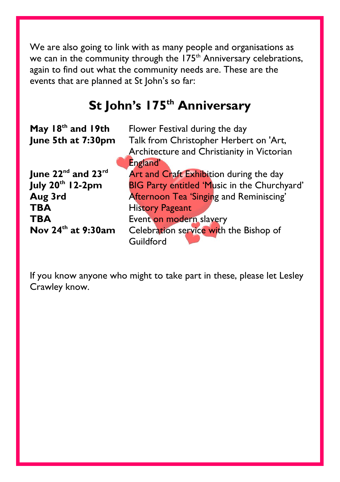We are also going to link with as many people and organisations as we can in the community through the 175<sup>th</sup> Anniversary celebrations, again to find out what the community needs are. These are the events that are planned at St John's so far:

### **St John's 175th Anniversary**

| May 18 <sup>th</sup> and 19th              | Flower Festival during the day                      |
|--------------------------------------------|-----------------------------------------------------|
| June 5th at 7:30pm                         | Talk from Christopher Herbert on 'Art,              |
|                                            | Architecture and Christianity in Victorian          |
|                                            | England'                                            |
| June $22^{\text{nd}}$ and $23^{\text{rd}}$ | Art and Craft Exhibition during the day             |
| <b>July 20th 12-2pm</b>                    | BIG Party entitled 'Music in the Churchyard'        |
| Aug 3rd                                    | Afternoon Tea 'Singing and Reminiscing'             |
| <b>TBA</b>                                 | <b>History Pageant</b>                              |
| <b>TBA</b>                                 | Event on modern slavery                             |
| Nov 24 <sup>th</sup> at 9:30am             | Celebration service with the Bishop of<br>Guildford |

If you know anyone who might to take part in these, please let Lesley Crawley know.